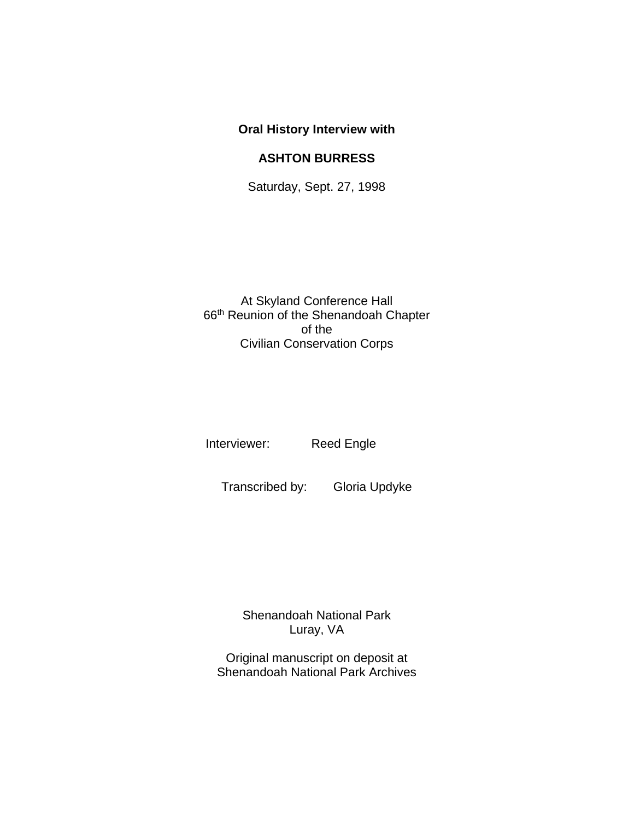## **Oral History Interview with ASHTON BURRESS**

Saturday, Sept. 27, 1998

At Skyland Conference Hall 66th Reunion of the Shenandoah Chapter of the Civilian Conservation Corps

Interviewer: Reed Engle

Transcribed by: Gloria Updyke

Shenandoah National Park Luray, VA

Original manuscript on deposit at Shenandoah National Park Archives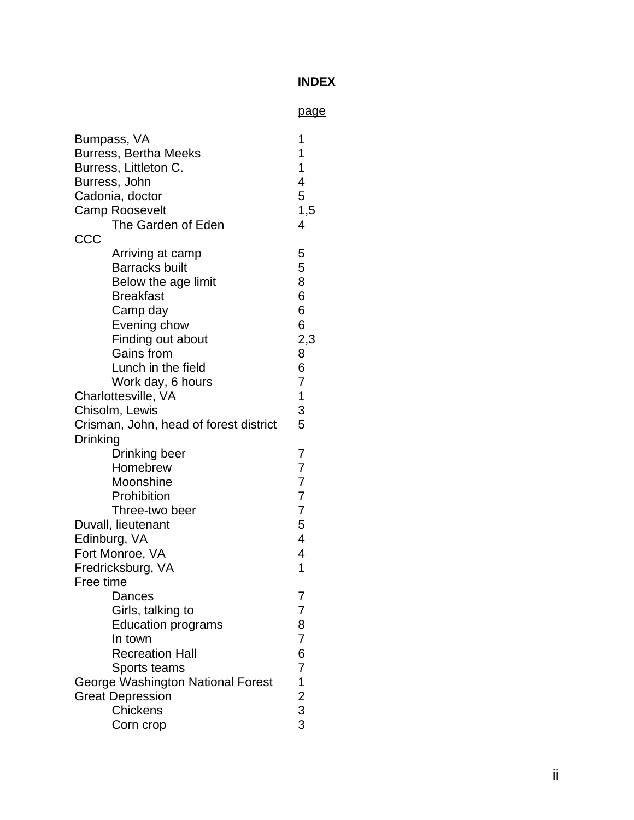## **INDEX**

|                                        | <u>page</u>                                     |
|----------------------------------------|-------------------------------------------------|
| Bumpass, VA                            | 1                                               |
| <b>Burress, Bertha Meeks</b>           | 1                                               |
| Burress, Littleton C.                  | 1                                               |
| Burress, John                          | 4                                               |
| Cadonia, doctor                        | 5                                               |
| <b>Camp Roosevelt</b>                  | 1,5                                             |
| The Garden of Eden                     | 4                                               |
| CCC                                    |                                                 |
| Arriving at camp                       | 5                                               |
| <b>Barracks built</b>                  | 5                                               |
| Below the age limit                    | 8                                               |
| <b>Breakfast</b>                       | 6                                               |
| Camp day                               | 6                                               |
| Evening chow                           | 6                                               |
| Finding out about                      | 2,3                                             |
| Gains from                             | 8                                               |
| Lunch in the field                     | 6                                               |
| Work day, 6 hours                      | $\overline{7}$                                  |
| Charlottesville, VA                    | $\mathbf 1$                                     |
| Chisolm, Lewis                         | 3                                               |
| Crisman, John, head of forest district | 5                                               |
| Drinking                               |                                                 |
| Drinking beer                          | 7                                               |
| Homebrew                               | 7                                               |
| Moonshine                              | $\overline{7}$                                  |
| Prohibition                            | 7                                               |
| Three-two beer                         | $\overline{7}$                                  |
| Duvall, lieutenant                     | 5                                               |
| Edinburg, VA                           | 4                                               |
| Fort Monroe, VA                        | 4                                               |
| Fredricksburg, VA                      | 1                                               |
| Free time                              |                                                 |
| Dances                                 | 7                                               |
| Girls, talking to                      | 7                                               |
| <b>Education programs</b>              | 8                                               |
| In town                                | 7                                               |
| <b>Recreation Hall</b>                 | 6                                               |
| Sports teams                           | $\overline{7}$                                  |
| George Washington National Forest      |                                                 |
| <b>Great Depression</b>                | $\begin{array}{c} 1 \\ 2 \\ 3 \\ 3 \end{array}$ |
| <b>Chickens</b>                        |                                                 |
| Corn crop                              |                                                 |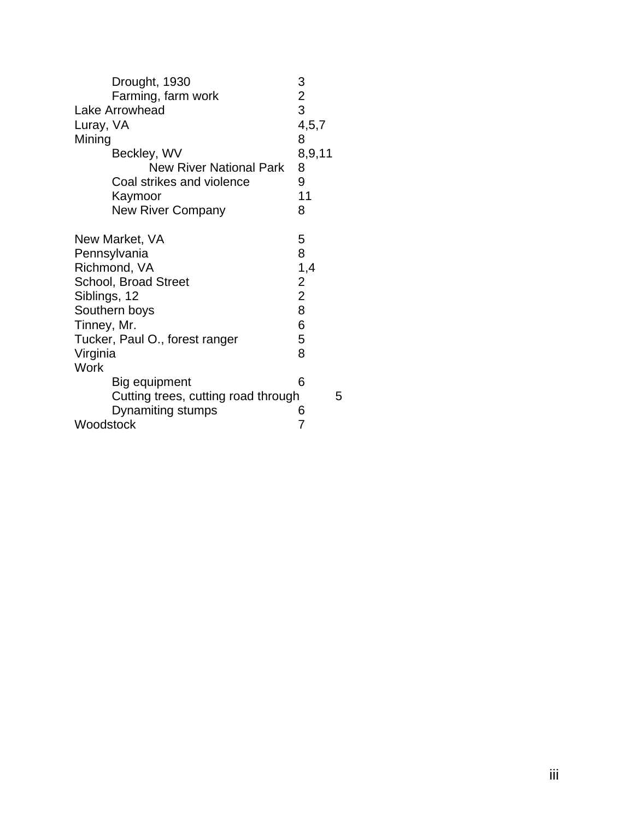| Drought, 1930                       | 3              |   |
|-------------------------------------|----------------|---|
| Farming, farm work                  | $\overline{2}$ |   |
| Lake Arrowhead                      | 3              |   |
| Luray, VA                           | 4, 5, 7        |   |
| Mining                              | 8              |   |
| Beckley, WV                         | 8,9,11         |   |
| <b>New River National Park</b>      | 8              |   |
| Coal strikes and violence           | 9              |   |
| Kaymoor                             | 11             |   |
| <b>New River Company</b>            | 8              |   |
| New Market, VA                      | 5              |   |
| Pennsylvania                        | 8              |   |
| Richmond, VA                        | 1,4            |   |
| <b>School, Broad Street</b>         | $\overline{2}$ |   |
| Siblings, 12                        | $\overline{2}$ |   |
| Southern boys                       | 8              |   |
| Tinney, Mr.                         | 6              |   |
| Tucker, Paul O., forest ranger      | 5              |   |
| Virginia                            | 8              |   |
| <b>Work</b>                         |                |   |
| Big equipment                       | 6              |   |
| Cutting trees, cutting road through |                | 5 |
| Dynamiting stumps                   | 6              |   |
| Woodstock                           | 7              |   |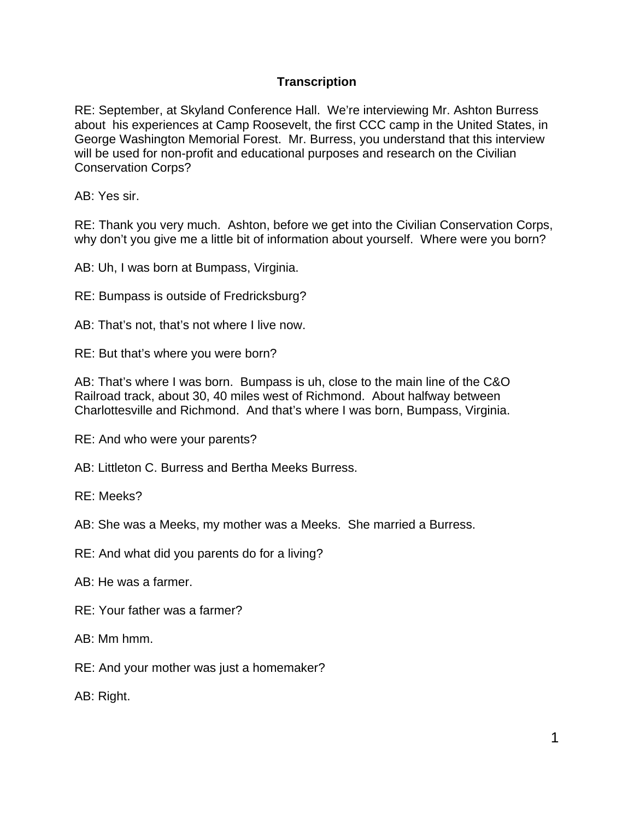## **Transcription**

 RE: September, at Skyland Conference Hall. We're interviewing Mr. Ashton Burress about his experiences at Camp Roosevelt, the first CCC camp in the United States, in George Washington Memorial Forest. Mr. Burress, you understand that this interview will be used for non-profit and educational purposes and research on the Civilian Conservation Corps?

AB: Yes sir.

 why don't you give me a little bit of information about yourself. Where were you born? RE: Thank you very much. Ashton, before we get into the Civilian Conservation Corps,

AB: Uh, I was born at Bumpass, Virginia.

RE: Bumpass is outside of Fredricksburg?

AB: That's not, that's not where I live now.

RE: But that's where you were born?

AB: That's where I was born. Bumpass is uh, close to the main line of the C&O Railroad track, about 30, 40 miles west of Richmond. About halfway between Charlottesville and Richmond. And that's where I was born, Bumpass, Virginia.

RE: And who were your parents?

AB: Littleton C. Burress and Bertha Meeks Burress.

RE: Meeks?

AB: She was a Meeks, my mother was a Meeks. She married a Burress.

RE: And what did you parents do for a living?

AB: He was a farmer.

RE: Your father was a farmer?

AB: Mm hmm.

RE: And your mother was just a homemaker?

AB: Right.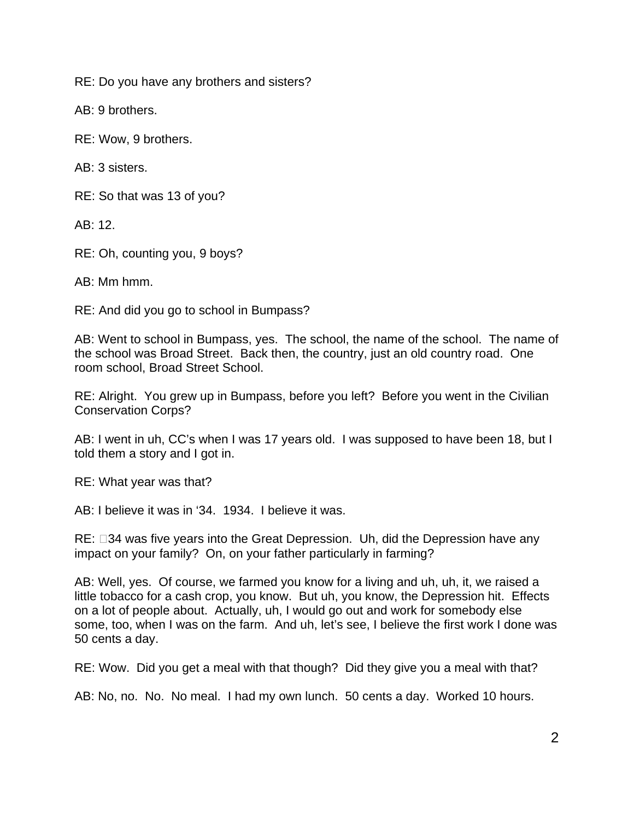RE: Do you have any brothers and sisters?

AB: 9 brothers.

RE: Wow, 9 brothers.

AB: 3 sisters.

RE: So that was 13 of you?

 $AB: 12$ 

RE: Oh, counting you, 9 boys?

AB: Mm hmm.

RE: And did you go to school in Bumpass?

 the school was Broad Street. Back then, the country, just an old country road. One AB: Went to school in Bumpass, yes. The school, the name of the school. The name of room school, Broad Street School.

RE: Alright. You grew up in Bumpass, before you left? Before you went in the Civilian Conservation Corps?

AB: I went in uh, CC's when I was 17 years old. I was supposed to have been 18, but I told them a story and I got in.

RE: What year was that?

AB: I believe it was in '34. 1934. I believe it was.

RE:  $\Box$ 34 was five years into the Great Depression. Uh, did the Depression have any impact on your family? On, on your father particularly in farming?

 AB: Well, yes. Of course, we farmed you know for a living and uh, uh, it, we raised a little tobacco for a cash crop, you know. But uh, you know, the Depression hit. Effects on a lot of people about. Actually, uh, I would go out and work for somebody else some, too, when I was on the farm. And uh, let's see, I believe the first work I done was 50 cents a day.

RE: Wow. Did you get a meal with that though? Did they give you a meal with that?

AB: No, no. No. No meal. I had my own lunch. 50 cents a day. Worked 10 hours.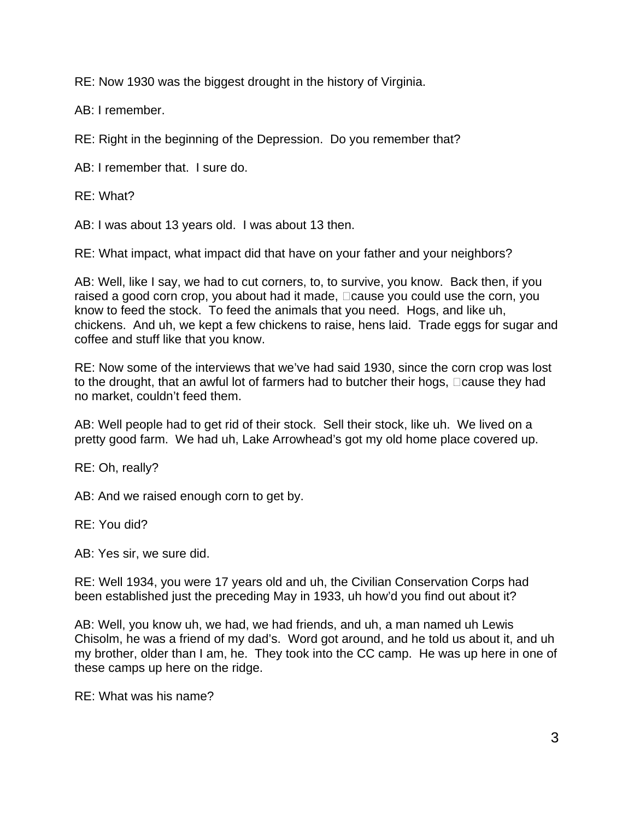RE: Now 1930 was the biggest drought in the history of Virginia.

AB: I remember.

RE: Right in the beginning of the Depression. Do you remember that?

AB: I remember that. I sure do.

RE: What?

AB: I was about 13 years old. I was about 13 then.

RE: What impact, what impact did that have on your father and your neighbors?

AB: Well, like I say, we had to cut corners, to, to survive, you know. Back then, if you raised a good corn crop, you about had it made,  $\Box$  cause you could use the corn, you know to feed the stock. To feed the animals that you need. Hogs, and like uh, chickens. And uh, we kept a few chickens to raise, hens laid. Trade eggs for sugar and coffee and stuff like that you know.

RE: Now some of the interviews that we've had said 1930, since the corn crop was lost to the drought, that an awful lot of farmers had to butcher their hogs,  $\Box$ cause they had no market, couldn't feed them.

AB: Well people had to get rid of their stock. Sell their stock, like uh. We lived on a pretty good farm. We had uh, Lake Arrowhead's got my old home place covered up.

RE: Oh, really?

AB: And we raised enough corn to get by.

RE: You did?

AB: Yes sir, we sure did.

RE: Well 1934, you were 17 years old and uh, the Civilian Conservation Corps had been established just the preceding May in 1933, uh how'd you find out about it?

these camps up here on the ridge.<br>RE: What was his name? AB: Well, you know uh, we had, we had friends, and uh, a man named uh Lewis Chisolm, he was a friend of my dad's. Word got around, and he told us about it, and uh my brother, older than I am, he. They took into the CC camp. He was up here in one of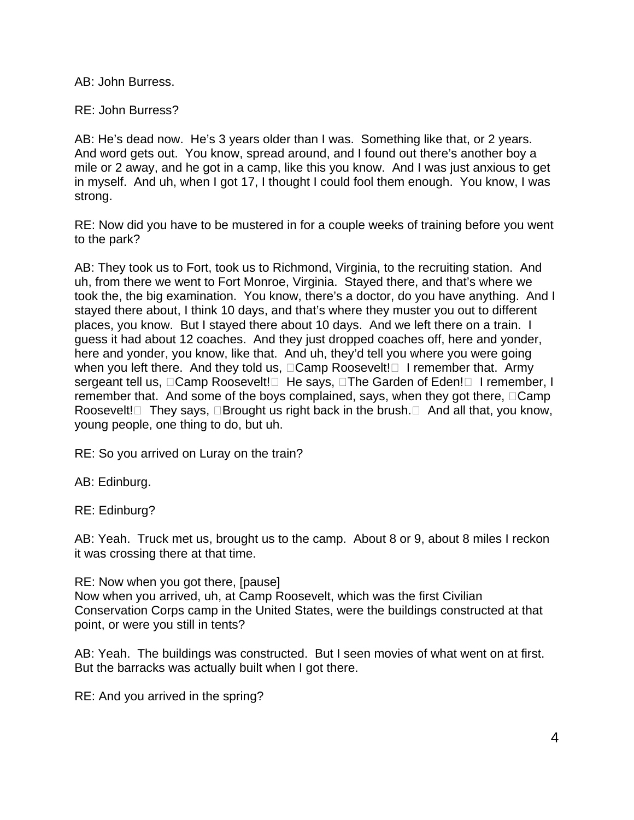AB: John Burress.

RE: John Burress?

AB: He's dead now. He's 3 years older than I was. Something like that, or 2 years. in myself. And uh, when I got 17, I thought I could fool them enough. You know, I was And word gets out. You know, spread around, and I found out there's another boy a mile or 2 away, and he got in a camp, like this you know. And I was just anxious to get strong.

RE: Now did you have to be mustered in for a couple weeks of training before you went to the park?

when you left there. And they told us, □Camp Roosevelt!□ I remember that. Army sergeant tell us, ⊡Camp Roosevelt! $\Box$  He says,  $\Box$ The Garden of Eden! $\Box$  I remember, I Roosevelt!⊡ They says, □Brought us right back in the brush.□ And all that, you know, AB: They took us to Fort, took us to Richmond, Virginia, to the recruiting station. And uh, from there we went to Fort Monroe, Virginia. Stayed there, and that's where we took the, the big examination. You know, there's a doctor, do you have anything. And I stayed there about, I think 10 days, and that's where they muster you out to different places, you know. But I stayed there about 10 days. And we left there on a train. I guess it had about 12 coaches. And they just dropped coaches off, here and yonder, here and yonder, you know, like that. And uh, they'd tell you where you were going remember that. And some of the boys complained, says, when they got there,  $\Box$ Camp young people, one thing to do, but uh.

RE: So you arrived on Luray on the train?

AB: Edinburg.

RE: Edinburg?

AB: Yeah. Truck met us, brought us to the camp. About 8 or 9, about 8 miles I reckon it was crossing there at that time.

RE: Now when you got there, [pause] Now when you arrived, uh, at Camp Roosevelt, which was the first Civilian Conservation Corps camp in the United States, were the buildings constructed at that point, or were you still in tents?

AB: Yeah. The buildings was constructed. But I seen movies of what went on at first. But the barracks was actually built when I got there.

RE: And you arrived in the spring?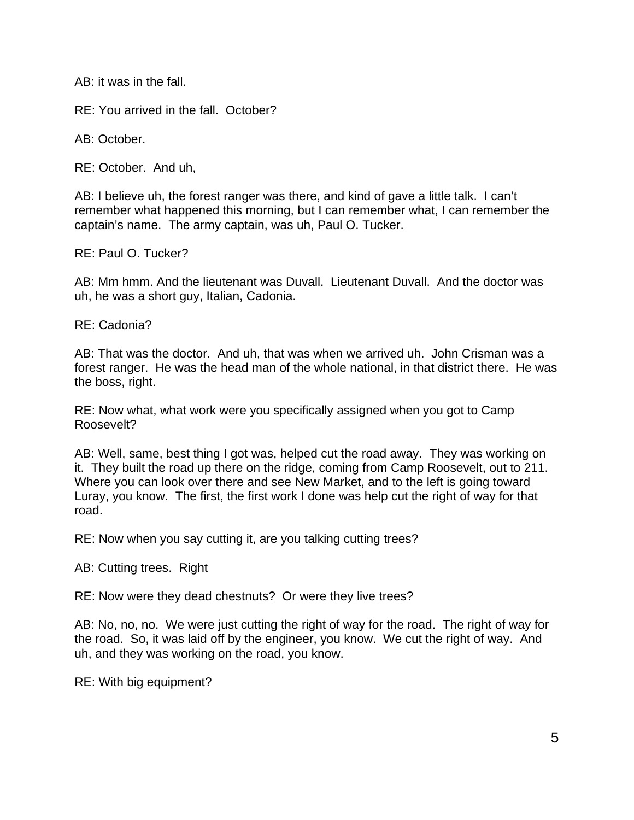AB: it was in the fall.

RE: You arrived in the fall. October?

AB: October.

RE: October. And uh,

AB: I believe uh, the forest ranger was there, and kind of gave a little talk. I can't remember what happened this morning, but I can remember what, I can remember the captain's name. The army captain, was uh, Paul O. Tucker.

RE: Paul O. Tucker?

AB: Mm hmm. And the lieutenant was Duvall. Lieutenant Duvall. And the doctor was uh, he was a short guy, Italian, Cadonia.

RE: Cadonia?

AB: That was the doctor. And uh, that was when we arrived uh. John Crisman was a forest ranger. He was the head man of the whole national, in that district there. He was the boss, right.

RE: Now what, what work were you specifically assigned when you got to Camp Roosevelt?

it. They built the road up there on the ridge, coming from Camp Roosevelt, out to 211. AB: Well, same, best thing I got was, helped cut the road away. They was working on Where you can look over there and see New Market, and to the left is going toward Luray, you know. The first, the first work I done was help cut the right of way for that road.

RE: Now when you say cutting it, are you talking cutting trees?

AB: Cutting trees. Right

RE: Now were they dead chestnuts? Or were they live trees?

 AB: No, no, no. We were just cutting the right of way for the road. The right of way for the road. So, it was laid off by the engineer, you know. We cut the right of way. And uh, and they was working on the road, you know.

RE: With big equipment?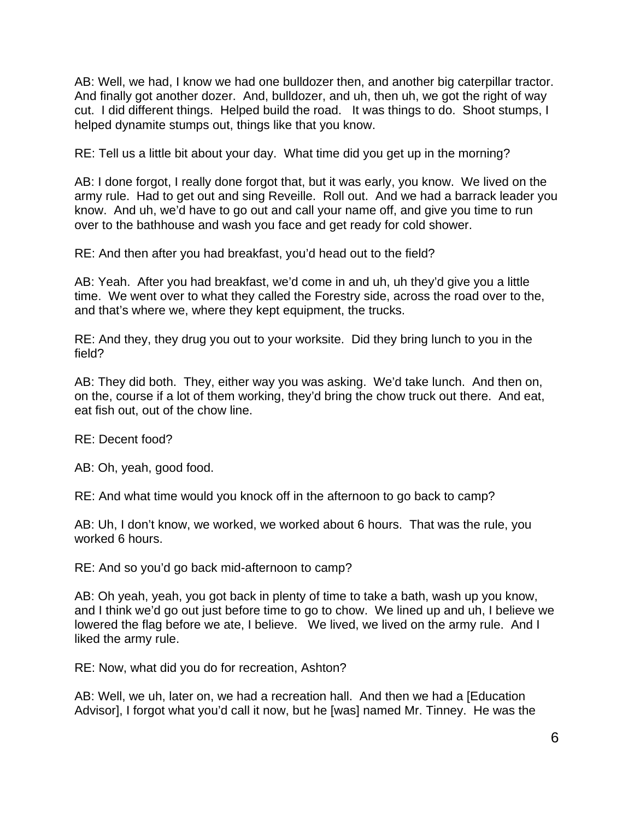AB: Well, we had, I know we had one bulldozer then, and another big caterpillar tractor. cut. I did different things. Helped build the road. It was things to do. Shoot stumps, I And finally got another dozer. And, bulldozer, and uh, then uh, we got the right of way helped dynamite stumps out, things like that you know.

RE: Tell us a little bit about your day. What time did you get up in the morning?

 army rule. Had to get out and sing Reveille. Roll out. And we had a barrack leader you AB: I done forgot, I really done forgot that, but it was early, you know. We lived on the know. And uh, we'd have to go out and call your name off, and give you time to run over to the bathhouse and wash you face and get ready for cold shower.

RE: And then after you had breakfast, you'd head out to the field?

 time. We went over to what they called the Forestry side, across the road over to the, and that's where we, where they kept equipment, the trucks. AB: Yeah. After you had breakfast, we'd come in and uh, uh they'd give you a little

RE: And they, they drug you out to your worksite. Did they bring lunch to you in the field?

AB: They did both. They, either way you was asking. We'd take lunch. And then on, on the, course if a lot of them working, they'd bring the chow truck out there. And eat, eat fish out, out of the chow line.

RE: Decent food?

AB: Oh, yeah, good food.

RE: And what time would you knock off in the afternoon to go back to camp?

AB: Uh, I don't know, we worked, we worked about 6 hours. That was the rule, you worked 6 hours.

RE: And so you'd go back mid-afternoon to camp?

 and I think we'd go out just before time to go to chow. We lined up and uh, I believe we lowered the flag before we ate, I believe. We lived, we lived on the army rule. And I AB: Oh yeah, yeah, you got back in plenty of time to take a bath, wash up you know, liked the army rule.

RE: Now, what did you do for recreation, Ashton?

AB: Well, we uh, later on, we had a recreation hall. And then we had a [Education Advisor], I forgot what you'd call it now, but he [was] named Mr. Tinney. He was the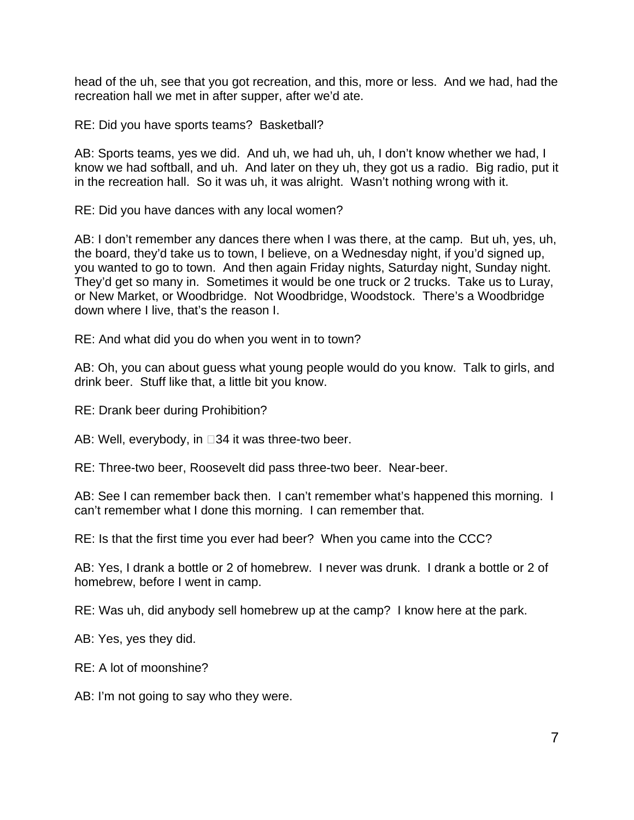head of the uh, see that you got recreation, and this, more or less. And we had, had the recreation hall we met in after supper, after we'd ate.

RE: Did you have sports teams? Basketball?

 in the recreation hall. So it was uh, it was alright. Wasn't nothing wrong with it. AB: Sports teams, yes we did. And uh, we had uh, uh, I don't know whether we had, I know we had softball, and uh. And later on they uh, they got us a radio. Big radio, put it

RE: Did you have dances with any local women?

you wanted to go to town. And then again Friday nights, Saturday night, Sunday night. AB: I don't remember any dances there when I was there, at the camp. But uh, yes, uh, the board, they'd take us to town, I believe, on a Wednesday night, if you'd signed up, They'd get so many in. Sometimes it would be one truck or 2 trucks. Take us to Luray, or New Market, or Woodbridge. Not Woodbridge, Woodstock. There's a Woodbridge down where I live, that's the reason I.

RE: And what did you do when you went in to town?

AB: Oh, you can about guess what young people would do you know. Talk to girls, and drink beer. Stuff like that, a little bit you know.

RE: Drank beer during Prohibition?

AB: Well, everybody, in  $\square 34$  it was three-two beer.

RE: Three-two beer, Roosevelt did pass three-two beer. Near-beer.

 AB: See I can remember back then. I can't remember what's happened this morning. I can't remember what I done this morning. I can remember that.

RE: Is that the first time you ever had beer? When you came into the CCC?

 AB: Yes, I drank a bottle or 2 of homebrew. I never was drunk. I drank a bottle or 2 of homebrew, before I went in camp.

RE: Was uh, did anybody sell homebrew up at the camp? I know here at the park.

AB: Yes, yes they did.

RE: A lot of moonshine?

AB: I'm not going to say who they were.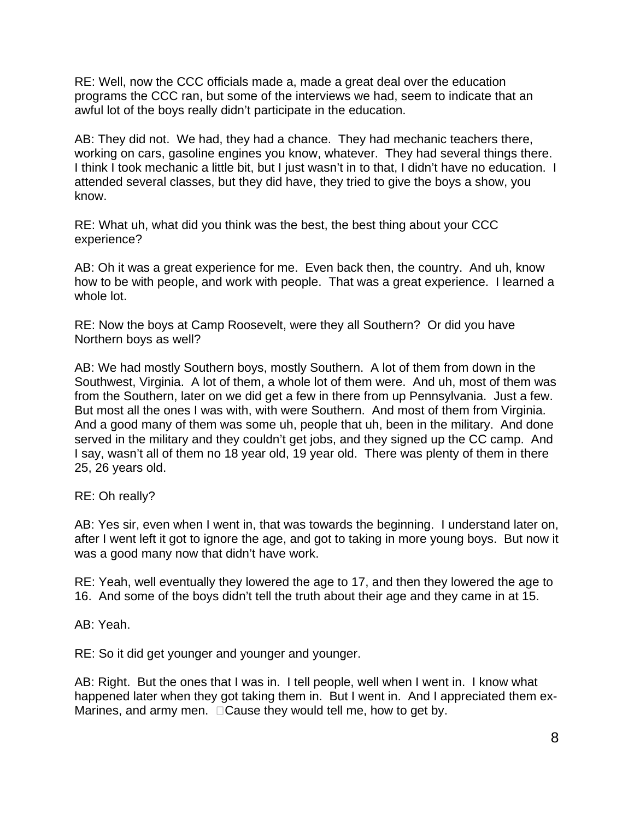RE: Well, now the CCC officials made a, made a great deal over the education programs the CCC ran, but some of the interviews we had, seem to indicate that an awful lot of the boys really didn't participate in the education.

 working on cars, gasoline engines you know, whatever. They had several things there. AB: They did not. We had, they had a chance. They had mechanic teachers there, I think I took mechanic a little bit, but I just wasn't in to that, I didn't have no education. I attended several classes, but they did have, they tried to give the boys a show, you know.

RE: What uh, what did you think was the best, the best thing about your CCC experience?

AB: Oh it was a great experience for me. Even back then, the country. And uh, know how to be with people, and work with people. That was a great experience. I learned a whole lot.

RE: Now the boys at Camp Roosevelt, were they all Southern? Or did you have Northern boys as well?

 AB: We had mostly Southern boys, mostly Southern. A lot of them from down in the from the Southern, later on we did get a few in there from up Pennsylvania. Just a few. from the Southern, later on we did get a few in there from up Pennsylvania. Just a few.<br>But most all the ones I was with, with were Southern. And most of them from Virginia. And a good many of them was some uh, people that uh, been in the military. And done Southwest, Virginia. A lot of them, a whole lot of them were. And uh, most of them was served in the military and they couldn't get jobs, and they signed up the CC camp. And I say, wasn't all of them no 18 year old, 19 year old. There was plenty of them in there 25, 26 years old.

RE: Oh really?

AB: Yes sir, even when I went in, that was towards the beginning. I understand later on, after I went left it got to ignore the age, and got to taking in more young boys. But now it was a good many now that didn't have work.

RE: Yeah, well eventually they lowered the age to 17, and then they lowered the age to 16. And some of the boys didn't tell the truth about their age and they came in at 15.

AB: Yeah.

RE: So it did get younger and younger and younger.

 AB: Right. But the ones that I was in. I tell people, well when I went in. I know what Marines, and army men.  $\Box$  Cause they would tell me, how to get by. happened later when they got taking them in. But I went in. And I appreciated them ex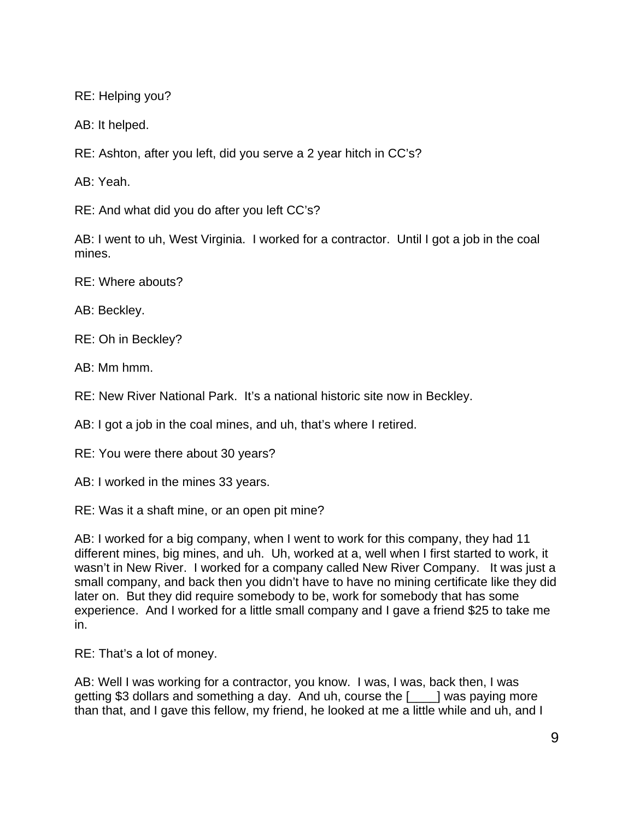RE: Helping you?

AB: It helped.

RE: Ashton, after you left, did you serve a 2 year hitch in CC's?

AB: Yeah.

RE: And what did you do after you left CC's?

AB: I went to uh, West Virginia. I worked for a contractor. Until I got a job in the coal mines.

RE: Where abouts?

AB: Beckley.

RE: Oh in Beckley?

AB: Mm hmm.

RE: New River National Park. It's a national historic site now in Beckley.

AB: I got a job in the coal mines, and uh, that's where I retired.

RE: You were there about 30 years?

AB: I worked in the mines 33 years.

RE: Was it a shaft mine, or an open pit mine?

 wasn't in New River. I worked for a company called New River Company. It was just a AB: I worked for a big company, when I went to work for this company, they had 11 different mines, big mines, and uh. Uh, worked at a, well when I first started to work, it small company, and back then you didn't have to have no mining certificate like they did later on. But they did require somebody to be, work for somebody that has some experience. And I worked for a little small company and I gave a friend \$25 to take me in.

RE: That's a lot of money.

AB: Well I was working for a contractor, you know. I was, I was, back then, I was getting \$3 dollars and something a day. And uh, course the [\_\_\_\_] was paying more than that, and I gave this fellow, my friend, he looked at me a little while and uh, and I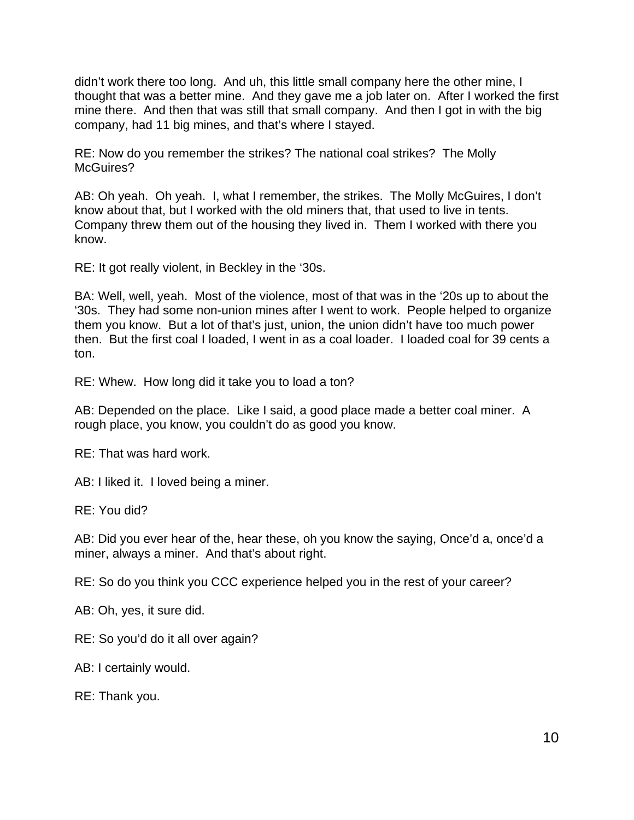mine there. And then that was still that small company. And then I got in with the big didn't work there too long. And uh, this little small company here the other mine, I thought that was a better mine. And they gave me a job later on. After I worked the first company, had 11 big mines, and that's where I stayed.

RE: Now do you remember the strikes? The national coal strikes? The Molly McGuires?

 AB: Oh yeah. Oh yeah. I, what I remember, the strikes. The Molly McGuires, I don't know about that, but I worked with the old miners that, that used to live in tents. Company threw them out of the housing they lived in. Them I worked with there you know.

RE: It got really violent, in Beckley in the '30s.

 then. But the first coal I loaded, I went in as a coal loader. I loaded coal for 39 cents a BA: Well, well, yeah. Most of the violence, most of that was in the '20s up to about the '30s. They had some non-union mines after I went to work. People helped to organize them you know. But a lot of that's just, union, the union didn't have too much power ton.

RE: Whew. How long did it take you to load a ton?

AB: Depended on the place. Like I said, a good place made a better coal miner. A rough place, you know, you couldn't do as good you know.

RE: That was hard work.

AB: I liked it. I loved being a miner.<br>RE: You did?

AB: Did you ever hear of the, hear these, oh you know the saying, Once'd a, once'd a miner, always a miner. And that's about right.

RE: So do you think you CCC experience helped you in the rest of your career?

AB: Oh, yes, it sure did.

RE: So you'd do it all over again?

AB: I certainly would.

RE: Thank you.